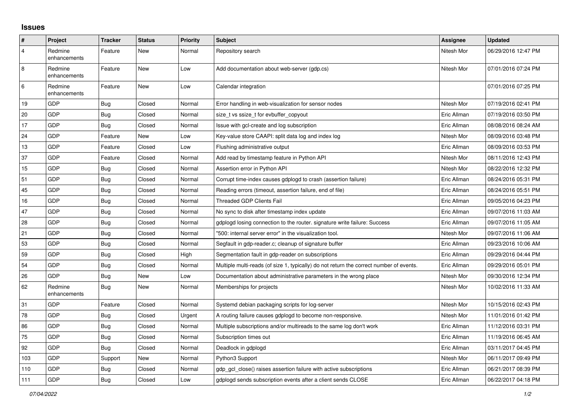## **Issues**

| ∦              | Project                 | <b>Tracker</b> | <b>Status</b> | <b>Priority</b> | <b>Subject</b>                                                                          | Assignee    | <b>Updated</b>      |
|----------------|-------------------------|----------------|---------------|-----------------|-----------------------------------------------------------------------------------------|-------------|---------------------|
| $\overline{4}$ | Redmine<br>enhancements | Feature        | New           | Normal          | Repository search                                                                       | Nitesh Mor  | 06/29/2016 12:47 PM |
| 8              | Redmine<br>enhancements | Feature        | New           | Low             | Add documentation about web-server (gdp.cs)                                             | Nitesh Mor  | 07/01/2016 07:24 PM |
| 6              | Redmine<br>enhancements | Feature        | New           | Low             | Calendar integration                                                                    |             | 07/01/2016 07:25 PM |
| 19             | GDP                     | <b>Bug</b>     | Closed        | Normal          | Error handling in web-visualization for sensor nodes                                    | Nitesh Mor  | 07/19/2016 02:41 PM |
| 20             | GDP                     | <b>Bug</b>     | Closed        | Normal          | size_t vs ssize_t for evbuffer_copyout                                                  | Eric Allman | 07/19/2016 03:50 PM |
| 17             | GDP                     | <b>Bug</b>     | Closed        | Normal          | Issue with gcl-create and log subscription                                              | Eric Allman | 08/08/2016 08:24 AM |
| 24             | GDP                     | Feature        | New           | Low             | Key-value store CAAPI: split data log and index log                                     | Nitesh Mor  | 08/09/2016 03:48 PM |
| 13             | GDP                     | Feature        | Closed        | Low             | Flushing administrative output                                                          | Eric Allman | 08/09/2016 03:53 PM |
| 37             | GDP                     | Feature        | Closed        | Normal          | Add read by timestamp feature in Python API                                             | Nitesh Mor  | 08/11/2016 12:43 PM |
| 15             | GDP                     | Bug            | Closed        | Normal          | Assertion error in Python API                                                           | Nitesh Mor  | 08/22/2016 12:32 PM |
| 51             | GDP                     | <b>Bug</b>     | Closed        | Normal          | Corrupt time-index causes gdplogd to crash (assertion failure)                          | Eric Allman | 08/24/2016 05:31 PM |
| 45             | GDP                     | Bug            | Closed        | Normal          | Reading errors (timeout, assertion failure, end of file)                                | Eric Allman | 08/24/2016 05:51 PM |
| 16             | GDP                     | <b>Bug</b>     | Closed        | Normal          | <b>Threaded GDP Clients Fail</b>                                                        | Eric Allman | 09/05/2016 04:23 PM |
| 47             | GDP                     | <b>Bug</b>     | Closed        | Normal          | No sync to disk after timestamp index update                                            | Eric Allman | 09/07/2016 11:03 AM |
| 28             | GDP                     | <b>Bug</b>     | Closed        | Normal          | gdplogd losing connection to the router. signature write failure: Success               | Eric Allman | 09/07/2016 11:05 AM |
| 21             | GDP                     | <b>Bug</b>     | Closed        | Normal          | "500: internal server error" in the visualization tool.                                 | Nitesh Mor  | 09/07/2016 11:06 AM |
| 53             | GDP                     | <b>Bug</b>     | Closed        | Normal          | Segfault in gdp-reader.c; cleanup of signature buffer                                   | Eric Allman | 09/23/2016 10:06 AM |
| 59             | GDP                     | <b>Bug</b>     | Closed        | High            | Segmentation fault in gdp-reader on subscriptions                                       | Eric Allman | 09/29/2016 04:44 PM |
| 54             | GDP                     | <b>Bug</b>     | Closed        | Normal          | Multiple multi-reads (of size 1, typically) do not return the correct number of events. | Eric Allman | 09/29/2016 05:01 PM |
| 26             | GDP                     | Bug            | New           | Low             | Documentation about administrative parameters in the wrong place                        | Nitesh Mor  | 09/30/2016 12:34 PM |
| 62             | Redmine<br>enhancements | <b>Bug</b>     | New           | Normal          | Memberships for projects                                                                | Nitesh Mor  | 10/02/2016 11:33 AM |
| 31             | GDP                     | Feature        | Closed        | Normal          | Systemd debian packaging scripts for log-server                                         | Nitesh Mor  | 10/15/2016 02:43 PM |
| 78             | GDP                     | <b>Bug</b>     | Closed        | Urgent          | A routing failure causes gdplogd to become non-responsive.                              | Nitesh Mor  | 11/01/2016 01:42 PM |
| 86             | GDP                     | <b>Bug</b>     | Closed        | Normal          | Multiple subscriptions and/or multireads to the same log don't work                     | Eric Allman | 11/12/2016 03:31 PM |
| 75             | GDP                     | <b>Bug</b>     | Closed        | Normal          | Subscription times out                                                                  | Eric Allman | 11/19/2016 06:45 AM |
| 92             | GDP                     | Bug            | Closed        | Normal          | Deadlock in gdplogd                                                                     | Eric Allman | 03/11/2017 04:45 PM |
| 103            | GDP                     | Support        | New           | Normal          | Python3 Support                                                                         | Nitesh Mor  | 06/11/2017 09:49 PM |
| 110            | GDP                     | <b>Bug</b>     | Closed        | Normal          | gdp gcl close() raises assertion failure with active subscriptions                      | Eric Allman | 06/21/2017 08:39 PM |
| 111            | GDP                     | <b>Bug</b>     | Closed        | Low             | adpload sends subscription events after a client sends CLOSE                            | Eric Allman | 06/22/2017 04:18 PM |